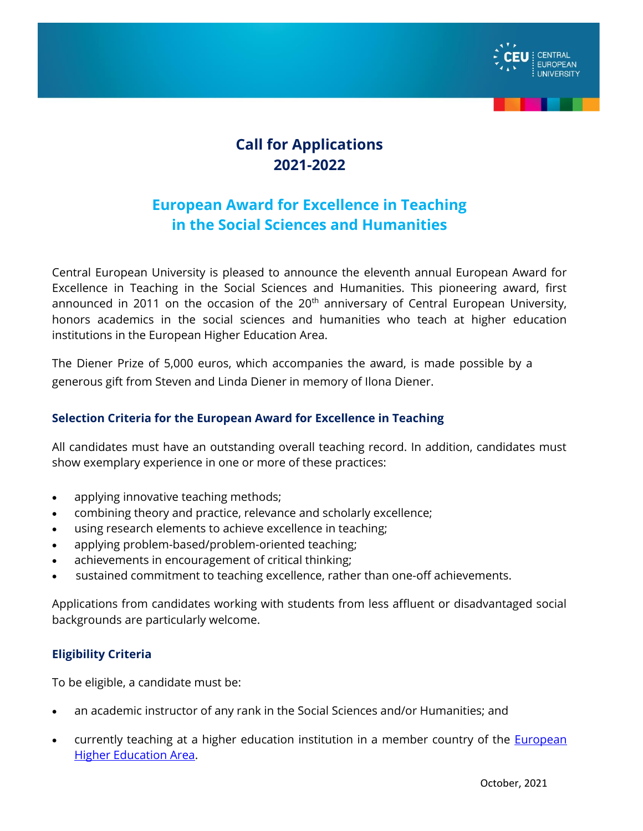

# **Call for Applications 2021-2022**

# **European Award for Excellence in Teaching in the Social Sciences and Humanities**

Central European University is pleased to announce the eleventh annual European Award for Excellence in Teaching in the Social Sciences and Humanities. This pioneering award, first announced in 2011 on the occasion of the  $20<sup>th</sup>$  anniversary of Central European University, honors academics in the social sciences and humanities who teach at higher education institutions in the European Higher Education Area.

The Diener Prize of 5,000 euros, which accompanies the award, is made possible by a generous gift from Steven and Linda Diener in memory of Ilona Diener.

# **Selection Criteria for the European Award for Excellence in Teaching**

All candidates must have an outstanding overall teaching record. In addition, candidates must show exemplary experience in one or more of these practices:

- applying innovative teaching methods;
- combining theory and practice, relevance and scholarly excellence;
- using research elements to achieve excellence in teaching;
- applying problem-based/problem-oriented teaching;
- achievements in encouragement of critical thinking;
- sustained commitment to teaching excellence, rather than one-off achievements.

Applications from candidates working with students from less affluent or disadvantaged social backgrounds are particularly welcome.

# **Eligibility Criteria**

To be eligible, a candidate must be:

- an academic instructor of any rank in the Social Sciences and/or Humanities; and
- currently teaching at a higher education institution in a member country of the [European](http://www.ehea.info/pid34250/members.html)  [Higher Education Area.](http://www.ehea.info/pid34250/members.html)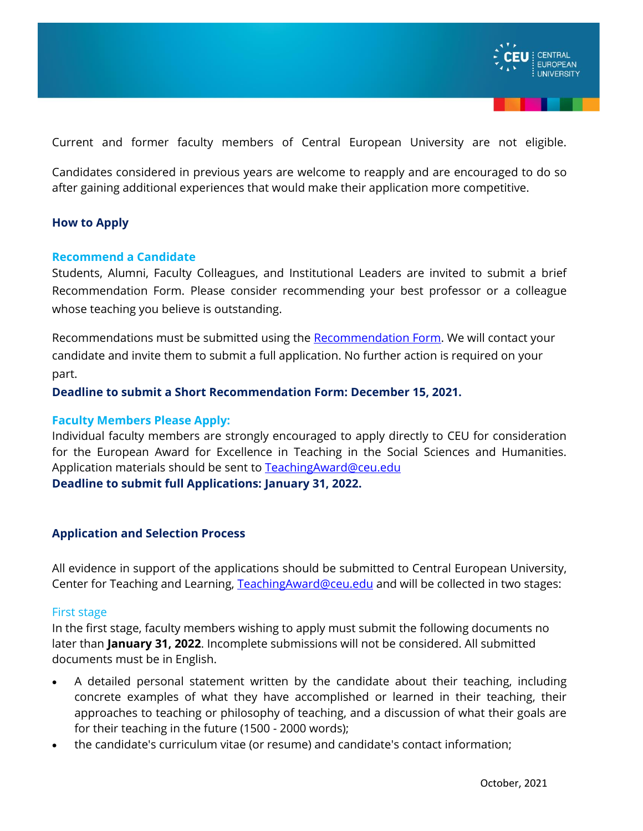

Current and former faculty members of Central European University are not eligible.

Candidates considered in previous years are welcome to reapply and are encouraged to do so after gaining additional experiences that would make their application more competitive.

## **How to Apply**

### **Recommend a Candidate**

Students, Alumni, Faculty Colleagues, and Institutional Leaders are invited to submit a brief Recommendation Form. Please consider recommending your best professor or a colleague whose teaching you believe is outstanding.

Recommendations must be submitted using the [Recommendation Form.](https://forms.office.com/Pages/ResponsePage.aspx?id=E1nE2VN24kuSC72wOGOBhJbQDGNBbX9EhW0l22m-ZbtUQVJaSFdRRUwyTjFQTFROVFNCUjYzNlpBNS4u) We will contact your candidate and invite them to submit a full application. No further action is required on your part.

**Deadline to submit a Short Recommendation Form: December 15, 2021.** 

#### **Faculty Members Please Apply:**

Individual faculty members are strongly encouraged to apply directly to CEU for consideration for the European Award for Excellence in Teaching in the Social Sciences and Humanities. Application materials should be sent to [TeachingAward@ceu.edu](mailto:TeachingAward@ceu.edu) **Deadline to submit full Applications: January 31, 2022.**

### **Application and Selection Process**

All evidence in support of the applications should be submitted to Central European University, Center for Teaching and Learning, [TeachingAward@ceu.edu](mailto:TeachingAward@ceu.edu) and will be collected in two stages:

#### First stage

In the first stage, faculty members wishing to apply must submit the following documents no later than **January 31, 2022**. Incomplete submissions will not be considered. All submitted documents must be in English.

- A detailed personal statement written by the candidate about their teaching, including concrete examples of what they have accomplished or learned in their teaching, their approaches to teaching or philosophy of teaching, and a discussion of what their goals are for their teaching in the future (1500 - 2000 words);
- the candidate's curriculum vitae (or resume) and candidate's contact information;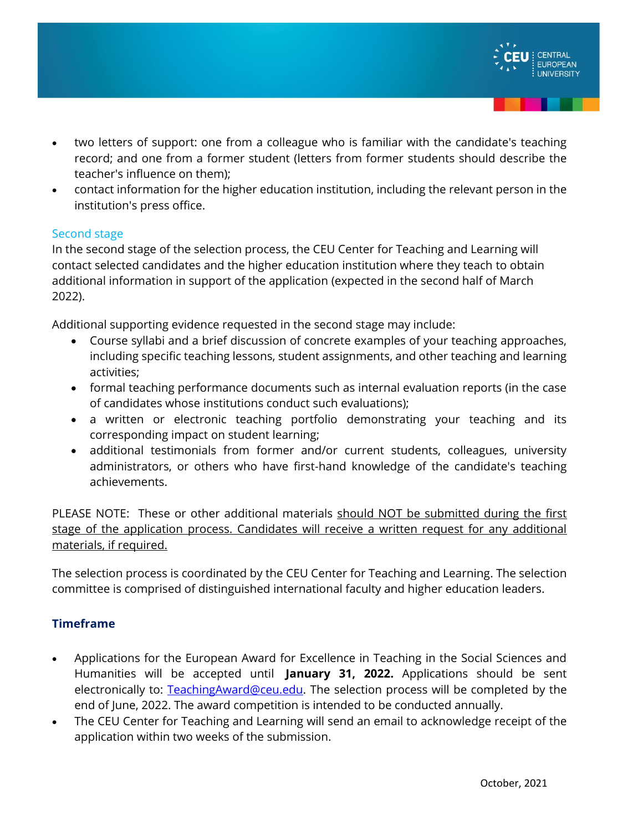

- two letters of support: one from a colleague who is familiar with the candidate's teaching record; and one from a former student (letters from former students should describe the teacher's influence on them);
- contact information for the higher education institution, including the relevant person in the institution's press office.

## Second stage

In the second stage of the selection process, the CEU Center for Teaching and Learning will contact selected candidates and the higher education institution where they teach to obtain additional information in support of the application (expected in the second half of March 2022).

Additional supporting evidence requested in the second stage may include:

- Course syllabi and a brief discussion of concrete examples of your teaching approaches, including specific teaching lessons, student assignments, and other teaching and learning activities;
- formal teaching performance documents such as internal evaluation reports (in the case of candidates whose institutions conduct such evaluations);
- a written or electronic teaching portfolio demonstrating your teaching and its corresponding impact on student learning;
- additional testimonials from former and/or current students, colleagues, university administrators, or others who have first-hand knowledge of the candidate's teaching achievements.

PLEASE NOTE: These or other additional materials should NOT be submitted during the first stage of the application process. Candidates will receive a written request for any additional materials, if required.

The selection process is coordinated by the CEU Center for Teaching and Learning. The selection committee is comprised of distinguished international faculty and higher education leaders.

# **Timeframe**

- Applications for the European Award for Excellence in Teaching in the Social Sciences and Humanities will be accepted until **January 31, 2022.** Applications should be sent electronically to: [TeachingAward@ceu.edu.](mailto:TeachingAward@ceu.edu) The selection process will be completed by the end of June, 2022. The award competition is intended to be conducted annually.
- The CEU Center for Teaching and Learning will send an email to acknowledge receipt of the application within two weeks of the submission.